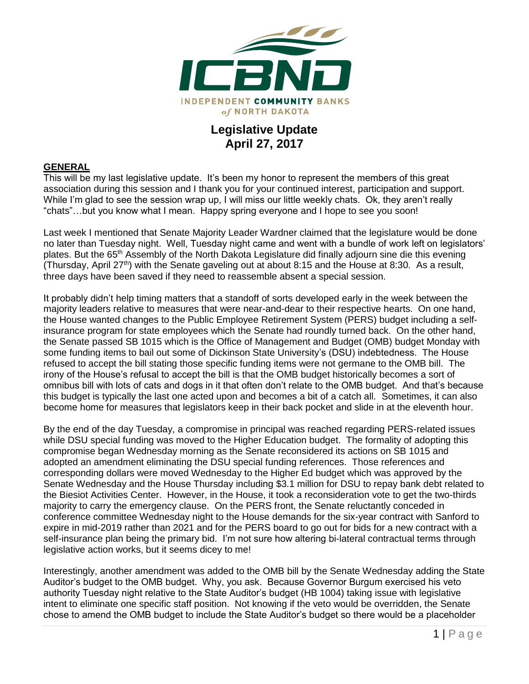

## **Legislative Update April 27, 2017**

## **GENERAL**

This will be my last legislative update. It's been my honor to represent the members of this great association during this session and I thank you for your continued interest, participation and support. While I'm glad to see the session wrap up, I will miss our little weekly chats. Ok, they aren't really "chats"…but you know what I mean. Happy spring everyone and I hope to see you soon!

Last week I mentioned that Senate Majority Leader Wardner claimed that the legislature would be done no later than Tuesday night. Well, Tuesday night came and went with a bundle of work left on legislators' plates. But the 65th Assembly of the North Dakota Legislature did finally adjourn sine die this evening (Thursday, April 27th) with the Senate gaveling out at about 8:15 and the House at 8:30. As a result, three days have been saved if they need to reassemble absent a special session.

It probably didn't help timing matters that a standoff of sorts developed early in the week between the majority leaders relative to measures that were near-and-dear to their respective hearts. On one hand, the House wanted changes to the Public Employee Retirement System (PERS) budget including a selfinsurance program for state employees which the Senate had roundly turned back. On the other hand, the Senate passed SB 1015 which is the Office of Management and Budget (OMB) budget Monday with some funding items to bail out some of Dickinson State University's (DSU) indebtedness. The House refused to accept the bill stating those specific funding items were not germane to the OMB bill. The irony of the House's refusal to accept the bill is that the OMB budget historically becomes a sort of omnibus bill with lots of cats and dogs in it that often don't relate to the OMB budget. And that's because this budget is typically the last one acted upon and becomes a bit of a catch all. Sometimes, it can also become home for measures that legislators keep in their back pocket and slide in at the eleventh hour.

By the end of the day Tuesday, a compromise in principal was reached regarding PERS-related issues while DSU special funding was moved to the Higher Education budget. The formality of adopting this compromise began Wednesday morning as the Senate reconsidered its actions on SB 1015 and adopted an amendment eliminating the DSU special funding references. Those references and corresponding dollars were moved Wednesday to the Higher Ed budget which was approved by the Senate Wednesday and the House Thursday including \$3.1 million for DSU to repay bank debt related to the Biesiot Activities Center. However, in the House, it took a reconsideration vote to get the two-thirds majority to carry the emergency clause. On the PERS front, the Senate reluctantly conceded in conference committee Wednesday night to the House demands for the six-year contract with Sanford to expire in mid-2019 rather than 2021 and for the PERS board to go out for bids for a new contract with a self-insurance plan being the primary bid. I'm not sure how altering bi-lateral contractual terms through legislative action works, but it seems dicey to me!

Interestingly, another amendment was added to the OMB bill by the Senate Wednesday adding the State Auditor's budget to the OMB budget. Why, you ask. Because Governor Burgum exercised his veto authority Tuesday night relative to the State Auditor's budget (HB 1004) taking issue with legislative intent to eliminate one specific staff position. Not knowing if the veto would be overridden, the Senate chose to amend the OMB budget to include the State Auditor's budget so there would be a placeholder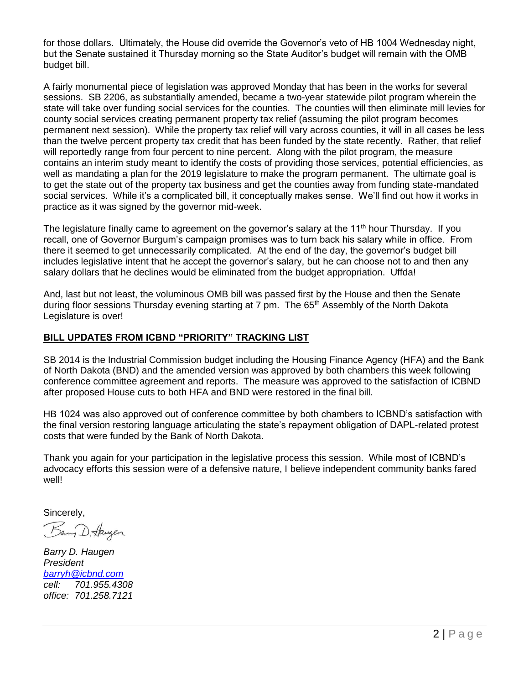for those dollars. Ultimately, the House did override the Governor's veto of HB 1004 Wednesday night, but the Senate sustained it Thursday morning so the State Auditor's budget will remain with the OMB budget bill.

A fairly monumental piece of legislation was approved Monday that has been in the works for several sessions. SB 2206, as substantially amended, became a two-year statewide pilot program wherein the state will take over funding social services for the counties. The counties will then eliminate mill levies for county social services creating permanent property tax relief (assuming the pilot program becomes permanent next session). While the property tax relief will vary across counties, it will in all cases be less than the twelve percent property tax credit that has been funded by the state recently. Rather, that relief will reportedly range from four percent to nine percent. Along with the pilot program, the measure contains an interim study meant to identify the costs of providing those services, potential efficiencies, as well as mandating a plan for the 2019 legislature to make the program permanent. The ultimate goal is to get the state out of the property tax business and get the counties away from funding state-mandated social services. While it's a complicated bill, it conceptually makes sense. We'll find out how it works in practice as it was signed by the governor mid-week.

The legislature finally came to agreement on the governor's salary at the 11<sup>th</sup> hour Thursday. If you recall, one of Governor Burgum's campaign promises was to turn back his salary while in office. From there it seemed to get unnecessarily complicated. At the end of the day, the governor's budget bill includes legislative intent that he accept the governor's salary, but he can choose not to and then any salary dollars that he declines would be eliminated from the budget appropriation. Uffda!

And, last but not least, the voluminous OMB bill was passed first by the House and then the Senate during floor sessions Thursday evening starting at 7 pm. The 65<sup>th</sup> Assembly of the North Dakota Legislature is over!

## **BILL UPDATES FROM ICBND "PRIORITY" TRACKING LIST**

SB 2014 is the Industrial Commission budget including the Housing Finance Agency (HFA) and the Bank of North Dakota (BND) and the amended version was approved by both chambers this week following conference committee agreement and reports. The measure was approved to the satisfaction of ICBND after proposed House cuts to both HFA and BND were restored in the final bill.

HB 1024 was also approved out of conference committee by both chambers to ICBND's satisfaction with the final version restoring language articulating the state's repayment obligation of DAPL-related protest costs that were funded by the Bank of North Dakota.

Thank you again for your participation in the legislative process this session. While most of ICBND's advocacy efforts this session were of a defensive nature, I believe independent community banks fared well!

Sincerely,

Bany D. Haugen

*Barry D. Haugen President [barryh@icbnd.com](mailto:barryh@icbnd.com) cell: 701.955.4308 office: 701.258.7121*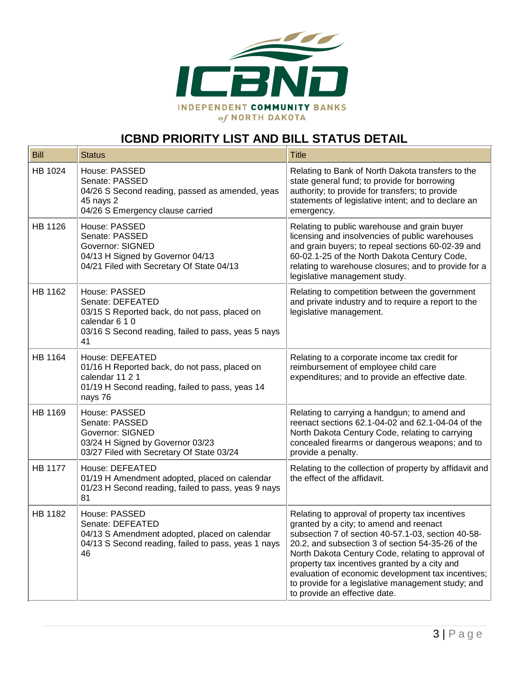

## **ICBND PRIORITY LIST AND BILL STATUS DETAIL**

| <b>Bill</b>    | <b>Status</b>                                                                                                                                                     | <b>Title</b>                                                                                                                                                                                                                                                                                                                                                                                                                                              |
|----------------|-------------------------------------------------------------------------------------------------------------------------------------------------------------------|-----------------------------------------------------------------------------------------------------------------------------------------------------------------------------------------------------------------------------------------------------------------------------------------------------------------------------------------------------------------------------------------------------------------------------------------------------------|
| HB 1024        | House: PASSED<br>Senate: PASSED<br>04/26 S Second reading, passed as amended, yeas<br>45 nays 2<br>04/26 S Emergency clause carried                               | Relating to Bank of North Dakota transfers to the<br>state general fund; to provide for borrowing<br>authority; to provide for transfers; to provide<br>statements of legislative intent; and to declare an<br>emergency.                                                                                                                                                                                                                                 |
| HB 1126        | House: PASSED<br>Senate: PASSED<br><b>Governor: SIGNED</b><br>04/13 H Signed by Governor 04/13<br>04/21 Filed with Secretary Of State 04/13                       | Relating to public warehouse and grain buyer<br>licensing and insolvencies of public warehouses<br>and grain buyers; to repeal sections 60-02-39 and<br>60-02.1-25 of the North Dakota Century Code,<br>relating to warehouse closures; and to provide for a<br>legislative management study.                                                                                                                                                             |
| HB 1162        | House: PASSED<br>Senate: DEFEATED<br>03/15 S Reported back, do not pass, placed on<br>calendar 6 1 0<br>03/16 S Second reading, failed to pass, yeas 5 nays<br>41 | Relating to competition between the government<br>and private industry and to require a report to the<br>legislative management.                                                                                                                                                                                                                                                                                                                          |
| HB 1164        | House: DEFEATED<br>01/16 H Reported back, do not pass, placed on<br>calendar 11 2 1<br>01/19 H Second reading, failed to pass, yeas 14<br>nays 76                 | Relating to a corporate income tax credit for<br>reimbursement of employee child care<br>expenditures; and to provide an effective date.                                                                                                                                                                                                                                                                                                                  |
| HB 1169        | House: PASSED<br>Senate: PASSED<br>Governor: SIGNED<br>03/24 H Signed by Governor 03/23<br>03/27 Filed with Secretary Of State 03/24                              | Relating to carrying a handgun; to amend and<br>reenact sections 62.1-04-02 and 62.1-04-04 of the<br>North Dakota Century Code, relating to carrying<br>concealed firearms or dangerous weapons; and to<br>provide a penalty.                                                                                                                                                                                                                             |
| <b>HB 1177</b> | House: DEFEATED<br>01/19 H Amendment adopted, placed on calendar<br>01/23 H Second reading, failed to pass, yeas 9 nays<br>81                                     | Relating to the collection of property by affidavit and<br>the effect of the affidavit.                                                                                                                                                                                                                                                                                                                                                                   |
| HB 1182        | House: PASSED<br>Senate: DEFEATED<br>04/13 S Amendment adopted, placed on calendar<br>04/13 S Second reading, failed to pass, yeas 1 nays<br>46                   | Relating to approval of property tax incentives<br>granted by a city; to amend and reenact<br>subsection 7 of section 40-57.1-03, section 40-58-<br>20.2, and subsection 3 of section 54-35-26 of the<br>North Dakota Century Code, relating to approval of<br>property tax incentives granted by a city and<br>evaluation of economic development tax incentives;<br>to provide for a legislative management study; and<br>to provide an effective date. |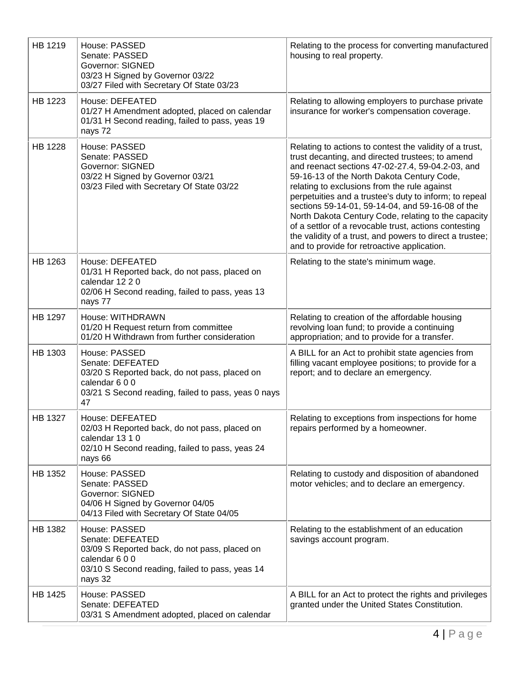| HB 1219        | House: PASSED<br>Senate: PASSED<br><b>Governor: SIGNED</b><br>03/23 H Signed by Governor 03/22<br>03/27 Filed with Secretary Of State 03/23                      | Relating to the process for converting manufactured<br>housing to real property.                                                                                                                                                                                                                                                                                                                                                                                                                                                                                                                       |
|----------------|------------------------------------------------------------------------------------------------------------------------------------------------------------------|--------------------------------------------------------------------------------------------------------------------------------------------------------------------------------------------------------------------------------------------------------------------------------------------------------------------------------------------------------------------------------------------------------------------------------------------------------------------------------------------------------------------------------------------------------------------------------------------------------|
| HB 1223        | House: DEFEATED<br>01/27 H Amendment adopted, placed on calendar<br>01/31 H Second reading, failed to pass, yeas 19<br>nays 72                                   | Relating to allowing employers to purchase private<br>insurance for worker's compensation coverage.                                                                                                                                                                                                                                                                                                                                                                                                                                                                                                    |
| <b>HB 1228</b> | House: PASSED<br>Senate: PASSED<br><b>Governor: SIGNED</b><br>03/22 H Signed by Governor 03/21<br>03/23 Filed with Secretary Of State 03/22                      | Relating to actions to contest the validity of a trust,<br>trust decanting, and directed trustees; to amend<br>and reenact sections 47-02-27.4, 59-04.2-03, and<br>59-16-13 of the North Dakota Century Code,<br>relating to exclusions from the rule against<br>perpetuities and a trustee's duty to inform; to repeal<br>sections 59-14-01, 59-14-04, and 59-16-08 of the<br>North Dakota Century Code, relating to the capacity<br>of a settlor of a revocable trust, actions contesting<br>the validity of a trust, and powers to direct a trustee;<br>and to provide for retroactive application. |
| HB 1263        | House: DEFEATED<br>01/31 H Reported back, do not pass, placed on<br>calendar 12 2 0<br>02/06 H Second reading, failed to pass, yeas 13<br>nays 77                | Relating to the state's minimum wage.                                                                                                                                                                                                                                                                                                                                                                                                                                                                                                                                                                  |
| HB 1297        | House: WITHDRAWN<br>01/20 H Request return from committee<br>01/20 H Withdrawn from further consideration                                                        | Relating to creation of the affordable housing<br>revolving loan fund; to provide a continuing<br>appropriation; and to provide for a transfer.                                                                                                                                                                                                                                                                                                                                                                                                                                                        |
| HB 1303        | House: PASSED<br>Senate: DEFEATED<br>03/20 S Reported back, do not pass, placed on<br>calendar 600<br>03/21 S Second reading, failed to pass, yeas 0 nays<br>47  | A BILL for an Act to prohibit state agencies from<br>filling vacant employee positions; to provide for a<br>report; and to declare an emergency.                                                                                                                                                                                                                                                                                                                                                                                                                                                       |
| HB 1327        | House: DEFEATED<br>02/03 H Reported back, do not pass, placed on<br>calendar 13 1 0<br>02/10 H Second reading, failed to pass, yeas 24<br>nays 66                | Relating to exceptions from inspections for home<br>repairs performed by a homeowner.                                                                                                                                                                                                                                                                                                                                                                                                                                                                                                                  |
| HB 1352        | House: PASSED<br>Senate: PASSED<br><b>Governor: SIGNED</b><br>04/06 H Signed by Governor 04/05<br>04/13 Filed with Secretary Of State 04/05                      | Relating to custody and disposition of abandoned<br>motor vehicles; and to declare an emergency.                                                                                                                                                                                                                                                                                                                                                                                                                                                                                                       |
| HB 1382        | House: PASSED<br>Senate: DEFEATED<br>03/09 S Reported back, do not pass, placed on<br>calendar 600<br>03/10 S Second reading, failed to pass, yeas 14<br>nays 32 | Relating to the establishment of an education<br>savings account program.                                                                                                                                                                                                                                                                                                                                                                                                                                                                                                                              |
| HB 1425        | House: PASSED<br>Senate: DEFEATED<br>03/31 S Amendment adopted, placed on calendar                                                                               | A BILL for an Act to protect the rights and privileges<br>granted under the United States Constitution.                                                                                                                                                                                                                                                                                                                                                                                                                                                                                                |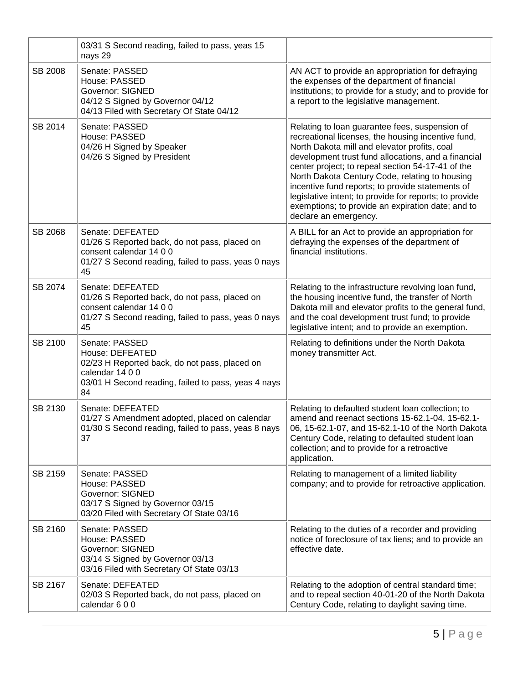|                | 03/31 S Second reading, failed to pass, yeas 15<br>nays 29                                                                                                         |                                                                                                                                                                                                                                                                                                                                                                                                                                                                                                                |
|----------------|--------------------------------------------------------------------------------------------------------------------------------------------------------------------|----------------------------------------------------------------------------------------------------------------------------------------------------------------------------------------------------------------------------------------------------------------------------------------------------------------------------------------------------------------------------------------------------------------------------------------------------------------------------------------------------------------|
| <b>SB 2008</b> | Senate: PASSED<br>House: PASSED<br>Governor: SIGNED<br>04/12 S Signed by Governor 04/12<br>04/13 Filed with Secretary Of State 04/12                               | AN ACT to provide an appropriation for defraying<br>the expenses of the department of financial<br>institutions; to provide for a study; and to provide for<br>a report to the legislative management.                                                                                                                                                                                                                                                                                                         |
| SB 2014        | Senate: PASSED<br>House: PASSED<br>04/26 H Signed by Speaker<br>04/26 S Signed by President                                                                        | Relating to loan guarantee fees, suspension of<br>recreational licenses, the housing incentive fund,<br>North Dakota mill and elevator profits, coal<br>development trust fund allocations, and a financial<br>center project; to repeal section 54-17-41 of the<br>North Dakota Century Code, relating to housing<br>incentive fund reports; to provide statements of<br>legislative intent; to provide for reports; to provide<br>exemptions; to provide an expiration date; and to<br>declare an emergency. |
| SB 2068        | Senate: DEFEATED<br>01/26 S Reported back, do not pass, placed on<br>consent calendar 14 0 0<br>01/27 S Second reading, failed to pass, yeas 0 nays<br>45          | A BILL for an Act to provide an appropriation for<br>defraying the expenses of the department of<br>financial institutions.                                                                                                                                                                                                                                                                                                                                                                                    |
| SB 2074        | Senate: DEFEATED<br>01/26 S Reported back, do not pass, placed on<br>consent calendar 14 0 0<br>01/27 S Second reading, failed to pass, yeas 0 nays<br>45          | Relating to the infrastructure revolving loan fund,<br>the housing incentive fund, the transfer of North<br>Dakota mill and elevator profits to the general fund,<br>and the coal development trust fund; to provide<br>legislative intent; and to provide an exemption.                                                                                                                                                                                                                                       |
| SB 2100        | Senate: PASSED<br>House: DEFEATED<br>02/23 H Reported back, do not pass, placed on<br>calendar 14 0 0<br>03/01 H Second reading, failed to pass, yeas 4 nays<br>84 | Relating to definitions under the North Dakota<br>money transmitter Act.                                                                                                                                                                                                                                                                                                                                                                                                                                       |
| SB 2130        | Senate: DEFEATED<br>01/27 S Amendment adopted, placed on calendar<br>01/30 S Second reading, failed to pass, yeas 8 nays<br>37                                     | Relating to defaulted student loan collection; to<br>amend and reenact sections 15-62.1-04, 15-62.1-<br>06, 15-62.1-07, and 15-62.1-10 of the North Dakota<br>Century Code, relating to defaulted student loan<br>collection; and to provide for a retroactive<br>application.                                                                                                                                                                                                                                 |
| SB 2159        | Senate: PASSED<br>House: PASSED<br><b>Governor: SIGNED</b><br>03/17 S Signed by Governor 03/15<br>03/20 Filed with Secretary Of State 03/16                        | Relating to management of a limited liability<br>company; and to provide for retroactive application.                                                                                                                                                                                                                                                                                                                                                                                                          |
| SB 2160        | Senate: PASSED<br>House: PASSED<br><b>Governor: SIGNED</b><br>03/14 S Signed by Governor 03/13<br>03/16 Filed with Secretary Of State 03/13                        | Relating to the duties of a recorder and providing<br>notice of foreclosure of tax liens; and to provide an<br>effective date.                                                                                                                                                                                                                                                                                                                                                                                 |
| SB 2167        | Senate: DEFEATED<br>02/03 S Reported back, do not pass, placed on<br>calendar 600                                                                                  | Relating to the adoption of central standard time;<br>and to repeal section 40-01-20 of the North Dakota<br>Century Code, relating to daylight saving time.                                                                                                                                                                                                                                                                                                                                                    |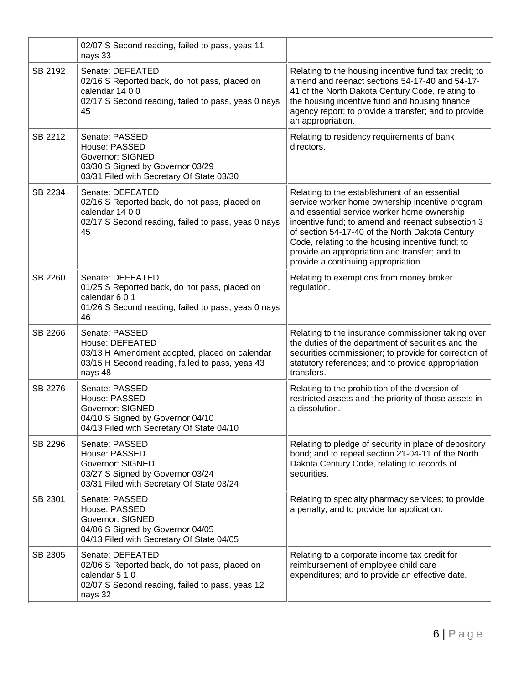|         | 02/07 S Second reading, failed to pass, yeas 11<br>nays 33                                                                                        |                                                                                                                                                                                                                                                                                                                                                                                                     |
|---------|---------------------------------------------------------------------------------------------------------------------------------------------------|-----------------------------------------------------------------------------------------------------------------------------------------------------------------------------------------------------------------------------------------------------------------------------------------------------------------------------------------------------------------------------------------------------|
| SB 2192 | Senate: DEFEATED<br>02/16 S Reported back, do not pass, placed on<br>calendar $1400$<br>02/17 S Second reading, failed to pass, yeas 0 nays<br>45 | Relating to the housing incentive fund tax credit; to<br>amend and reenact sections 54-17-40 and 54-17-<br>41 of the North Dakota Century Code, relating to<br>the housing incentive fund and housing finance<br>agency report; to provide a transfer; and to provide<br>an appropriation.                                                                                                          |
| SB 2212 | Senate: PASSED<br>House: PASSED<br><b>Governor: SIGNED</b><br>03/30 S Signed by Governor 03/29<br>03/31 Filed with Secretary Of State 03/30       | Relating to residency requirements of bank<br>directors.                                                                                                                                                                                                                                                                                                                                            |
| SB 2234 | Senate: DEFEATED<br>02/16 S Reported back, do not pass, placed on<br>calendar 14 0 0<br>02/17 S Second reading, failed to pass, yeas 0 nays<br>45 | Relating to the establishment of an essential<br>service worker home ownership incentive program<br>and essential service worker home ownership<br>incentive fund; to amend and reenact subsection 3<br>of section 54-17-40 of the North Dakota Century<br>Code, relating to the housing incentive fund; to<br>provide an appropriation and transfer; and to<br>provide a continuing appropriation. |
| SB 2260 | Senate: DEFEATED<br>01/25 S Reported back, do not pass, placed on<br>calendar 6 0 1<br>01/26 S Second reading, failed to pass, yeas 0 nays<br>46  | Relating to exemptions from money broker<br>regulation.                                                                                                                                                                                                                                                                                                                                             |
| SB 2266 | Senate: PASSED<br>House: DEFEATED<br>03/13 H Amendment adopted, placed on calendar<br>03/15 H Second reading, failed to pass, yeas 43<br>nays 48  | Relating to the insurance commissioner taking over<br>the duties of the department of securities and the<br>securities commissioner; to provide for correction of<br>statutory references; and to provide appropriation<br>transfers.                                                                                                                                                               |
| SB 2276 | Senate: PASSED<br>House: PASSED<br>Governor: SIGNED<br>04/10 S Signed by Governor 04/10<br>04/13 Filed with Secretary Of State 04/10              | Relating to the prohibition of the diversion of<br>restricted assets and the priority of those assets in<br>a dissolution.                                                                                                                                                                                                                                                                          |
| SB 2296 | Senate: PASSED<br>House: PASSED<br><b>Governor: SIGNED</b><br>03/27 S Signed by Governor 03/24<br>03/31 Filed with Secretary Of State 03/24       | Relating to pledge of security in place of depository<br>bond; and to repeal section 21-04-11 of the North<br>Dakota Century Code, relating to records of<br>securities.                                                                                                                                                                                                                            |
| SB 2301 | Senate: PASSED<br>House: PASSED<br><b>Governor: SIGNED</b><br>04/06 S Signed by Governor 04/05<br>04/13 Filed with Secretary Of State 04/05       | Relating to specialty pharmacy services; to provide<br>a penalty; and to provide for application.                                                                                                                                                                                                                                                                                                   |
| SB 2305 | Senate: DEFEATED<br>02/06 S Reported back, do not pass, placed on<br>calendar 5 1 0<br>02/07 S Second reading, failed to pass, yeas 12<br>nays 32 | Relating to a corporate income tax credit for<br>reimbursement of employee child care<br>expenditures; and to provide an effective date.                                                                                                                                                                                                                                                            |